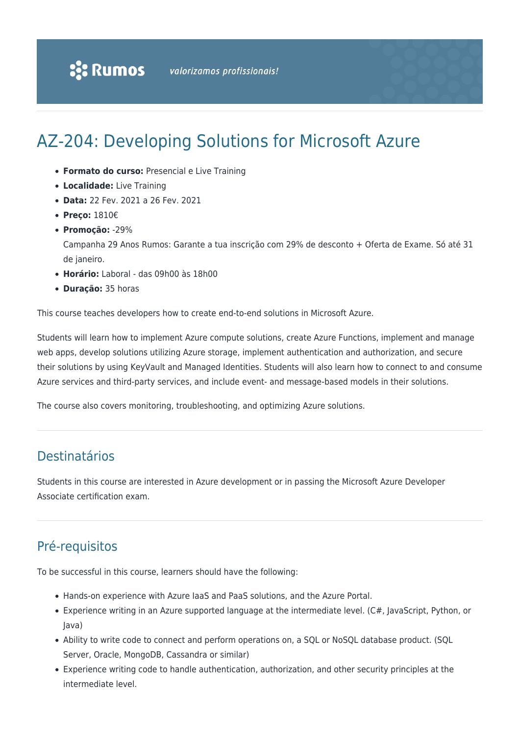# AZ-204: Developing Solutions for Microsoft Azure

- **Formato do curso:** Presencial e Live Training
- **Localidade:** Live Training
- **Data:** 22 Fev. 2021 a 26 Fev. 2021
- **Preço:** 1810€
- **Promoção:** -29%

Campanha 29 Anos Rumos: Garante a tua inscrição com 29% de desconto + Oferta de Exame. Só até 31 de janeiro.

- **Horário:** Laboral das 09h00 às 18h00
- **Duração:** 35 horas

This course teaches developers how to create end-to-end solutions in Microsoft Azure.

Students will learn how to implement Azure compute solutions, create Azure Functions, implement and manage web apps, develop solutions utilizing Azure storage, implement authentication and authorization, and secure their solutions by using KeyVault and Managed Identities. Students will also learn how to connect to and consume Azure services and third-party services, and include event- and message-based models in their solutions.

The course also covers monitoring, troubleshooting, and optimizing Azure solutions.

## Destinatários

Students in this course are interested in Azure development or in passing the Microsoft Azure Developer Associate certification exam.

## Pré-requisitos

To be successful in this course, learners should have the following:

- Hands-on experience with Azure IaaS and PaaS solutions, and the Azure Portal.
- Experience writing in an Azure supported language at the intermediate level. (C#, JavaScript, Python, or Java)
- Ability to write code to connect and perform operations on, a SQL or NoSQL database product. (SQL Server, Oracle, MongoDB, Cassandra or similar)
- Experience writing code to handle authentication, authorization, and other security principles at the intermediate level.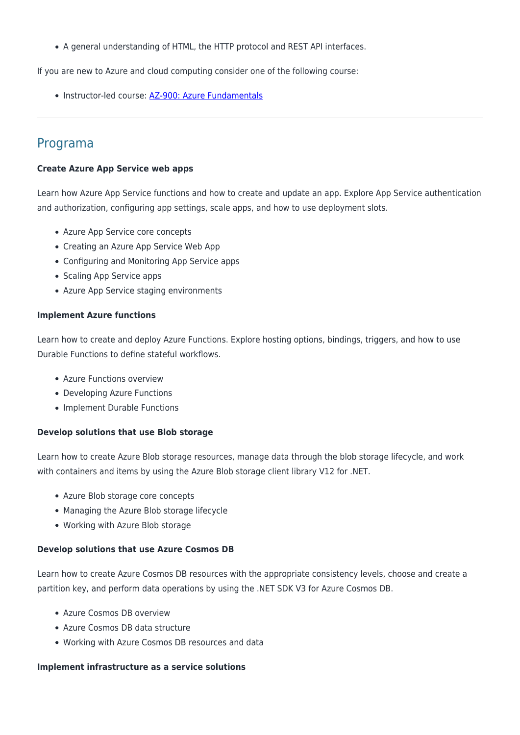A general understanding of HTML, the HTTP protocol and REST API interfaces.

If you are new to Azure and cloud computing consider one of the following course:

• Instructor-led course: [AZ-900: Azure Fundamentals](https://www.rumos.pt/curso/az-900-microsoft-azure-fundamentals-1-dia-presencial-com-live-training/)

### Programa

#### **Create Azure App Service web apps**

Learn how Azure App Service functions and how to create and update an app. Explore App Service authentication and authorization, configuring app settings, scale apps, and how to use deployment slots.

- Azure App Service core concepts
- Creating an Azure App Service Web App
- Configuring and Monitoring App Service apps
- Scaling App Service apps
- Azure App Service staging environments

#### **Implement Azure functions**

Learn how to create and deploy Azure Functions. Explore hosting options, bindings, triggers, and how to use Durable Functions to define stateful workflows.

- Azure Functions overview
- Developing Azure Functions
- Implement Durable Functions

#### **Develop solutions that use Blob storage**

Learn how to create Azure Blob storage resources, manage data through the blob storage lifecycle, and work with containers and items by using the Azure Blob storage client library V12 for .NET.

- Azure Blob storage core concepts
- Managing the Azure Blob storage lifecycle
- Working with Azure Blob storage

#### **Develop solutions that use Azure Cosmos DB**

Learn how to create Azure Cosmos DB resources with the appropriate consistency levels, choose and create a partition key, and perform data operations by using the .NET SDK V3 for Azure Cosmos DB.

- Azure Cosmos DB overview
- Azure Cosmos DB data structure
- Working with Azure Cosmos DB resources and data

#### **Implement infrastructure as a service solutions**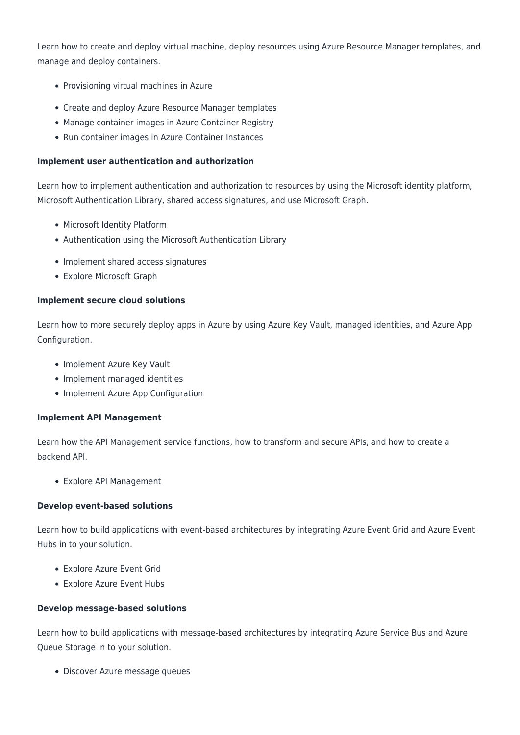Learn how to create and deploy virtual machine, deploy resources using Azure Resource Manager templates, and manage and deploy containers.

- Provisioning virtual machines in Azure
- Create and deploy Azure Resource Manager templates
- Manage container images in Azure Container Registry
- Run container images in Azure Container Instances

#### **Implement user authentication and authorization**

Learn how to implement authentication and authorization to resources by using the Microsoft identity platform, Microsoft Authentication Library, shared access signatures, and use Microsoft Graph.

- Microsoft Identity Platform
- Authentication using the Microsoft Authentication Library
- Implement shared access signatures
- Explore Microsoft Graph

#### **Implement secure cloud solutions**

Learn how to more securely deploy apps in Azure by using Azure Key Vault, managed identities, and Azure App Configuration.

- Implement Azure Key Vault
- Implement managed identities
- Implement Azure App Configuration

#### **Implement API Management**

Learn how the API Management service functions, how to transform and secure APIs, and how to create a backend API.

Explore API Management

#### **Develop event-based solutions**

Learn how to build applications with event-based architectures by integrating Azure Event Grid and Azure Event Hubs in to your solution.

- Explore Azure Event Grid
- Explore Azure Event Hubs

#### **Develop message-based solutions**

Learn how to build applications with message-based architectures by integrating Azure Service Bus and Azure Queue Storage in to your solution.

Discover Azure message queues